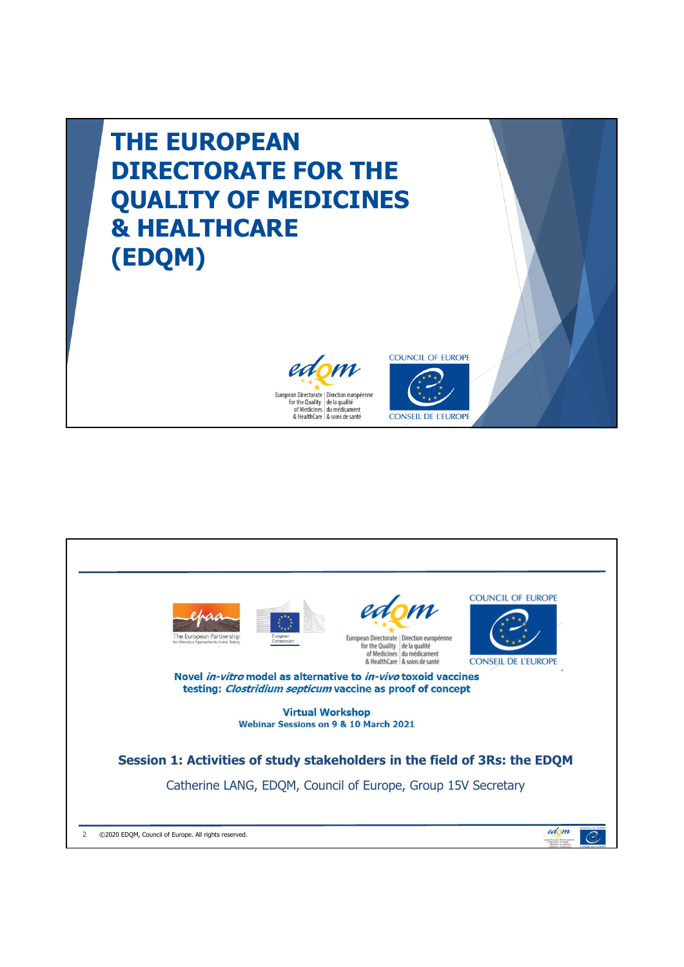

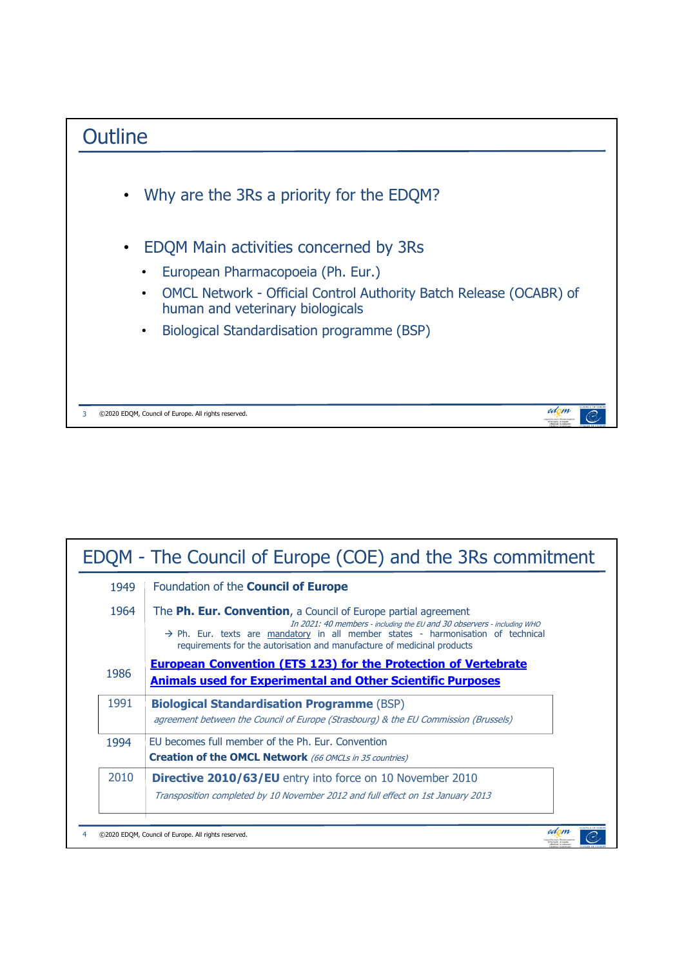

| EDQM - The Council of Europe (COE) and the 3Rs commitment |                                                                                                                                                                                                                                                                                                                      |  |
|-----------------------------------------------------------|----------------------------------------------------------------------------------------------------------------------------------------------------------------------------------------------------------------------------------------------------------------------------------------------------------------------|--|
| 1949                                                      | Foundation of the Council of Europe                                                                                                                                                                                                                                                                                  |  |
| 1964                                                      | The Ph. Eur. Convention, a Council of Europe partial agreement<br>In 2021: 40 members - including the EU and 30 observers - including WHO<br>$\rightarrow$ Ph. Eur. texts are mandatory in all member states - harmonisation of technical<br>requirements for the autorisation and manufacture of medicinal products |  |
| 1986                                                      | <b>European Convention (ETS 123) for the Protection of Vertebrate</b><br><b>Animals used for Experimental and Other Scientific Purposes</b>                                                                                                                                                                          |  |
| 1991                                                      | <b>Biological Standardisation Programme (BSP)</b><br>agreement between the Council of Europe (Strasbourg) & the EU Commission (Brussels)                                                                                                                                                                             |  |
| 1994                                                      | EU becomes full member of the Ph. Eur. Convention<br><b>Creation of the OMCL Network</b> (66 OMCLs in 35 countries)                                                                                                                                                                                                  |  |
| 2010                                                      | <b>Directive 2010/63/EU</b> entry into force on 10 November 2010<br>Transposition completed by 10 November 2012 and full effect on 1st January 2013                                                                                                                                                                  |  |
|                                                           | ©2020 EDQM, Council of Europe. All rights reserved.                                                                                                                                                                                                                                                                  |  |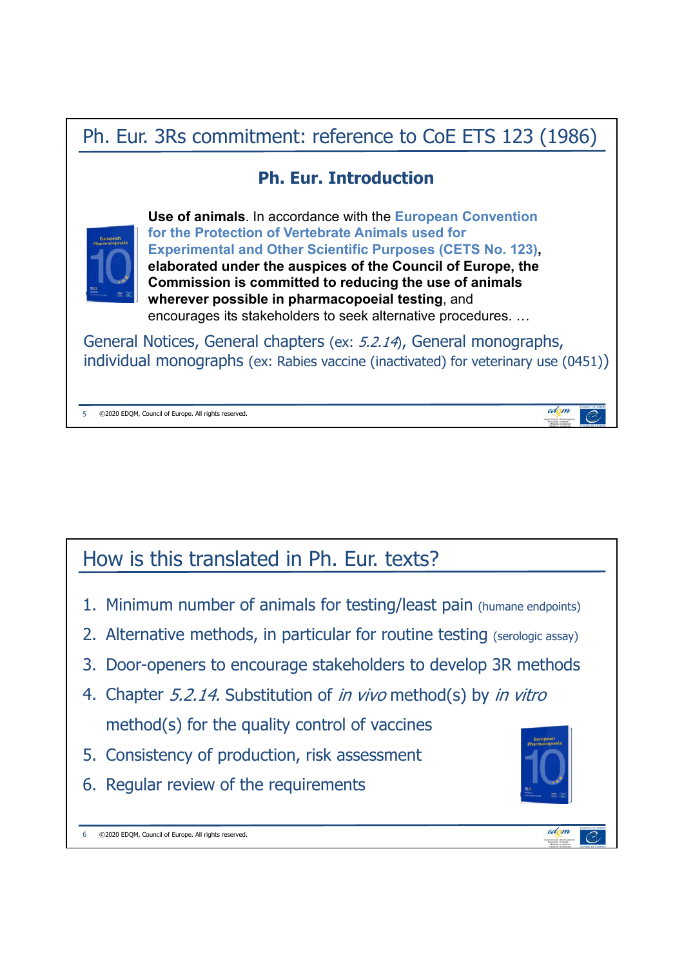# Ph. Eur. 3Rs commitment: reference to CoE ETS 123 (1986)

## **Ph. Eur. Introduction**



**Use of animals**. In accordance with the **European Convention for the Protection of Vertebrate Animals used for Experimental and Other Scientific Purposes (CETS No. 123), elaborated under the auspices of the Council of Europe, the Commission is committed to reducing the use of animals wherever possible in pharmacopoeial testing**, and encourages its stakeholders to seek alternative procedures. …

General Notices, General chapters (ex: 5.2.14), General monographs, individual monographs (ex: Rabies vaccine (inactivated) for veterinary use (0451))

5 ©2020 EDQM, Council of Europe. All rights reserved.

## How is this translated in Ph. Eur. texts?

- 1. Minimum number of animals for testing/least pain (humane endpoints)
- 2. Alternative methods, in particular for routine testing (serologic assay)
- 3. Door-openers to encourage stakeholders to develop 3R methods
- 4. Chapter 5.2.14. Substitution of *in vivo* method(s) by *in vitro* method(s) for the quality control of vaccines
- 5. Consistency of production, risk assessment
- 6. Regular review of the requirements

6 ©2020 EDQM, Council of Europe. All rights reserved.



edom

- 03

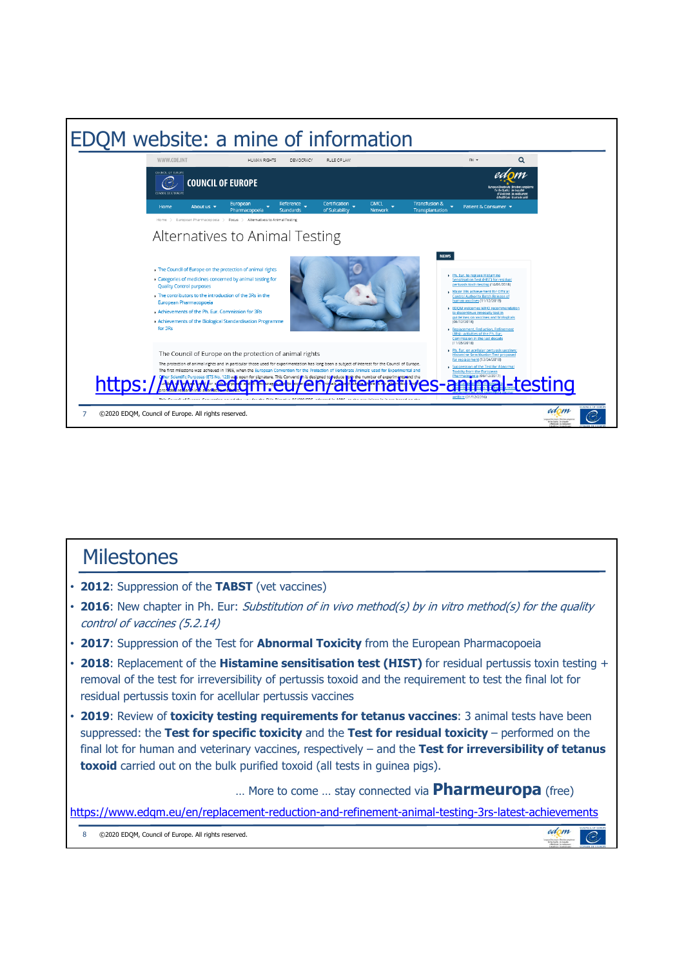

### **Milestones**

- **2012**: Suppression of the **TABST** (vet vaccines)
- **2016**: New chapter in Ph. Eur: Substitution of in vivo method(s) by in vitro method(s) for the quality control of vaccines (5.2.14)
- **2017**: Suppression of the Test for **Abnormal Toxicity** from the European Pharmacopoeia
- **2018**: Replacement of the **Histamine sensitisation test (HIST)** for residual pertussis toxin testing + removal of the test for irreversibility of pertussis toxoid and the requirement to test the final lot for residual pertussis toxin for acellular pertussis vaccines
- **2019**: Review of **toxicity testing requirements for tetanus vaccines**: 3 animal tests have been suppressed: the **Test for specific toxicity** and the **Test for residual toxicity** – performed on the final lot for human and veterinary vaccines, respectively – and the **Test for irreversibility of tetanus toxoid** carried out on the bulk purified toxoid (all tests in guinea pigs).

… More to come … stay connected via **Pharmeuropa** (free)

<https://www.edqm.eu/en/replacement-reduction-and-refinement-animal-testing-3rs-latest-achievements>

8 ©2020 EDQM, Council of Europe. All rights reserved.

edom  $\overline{C}$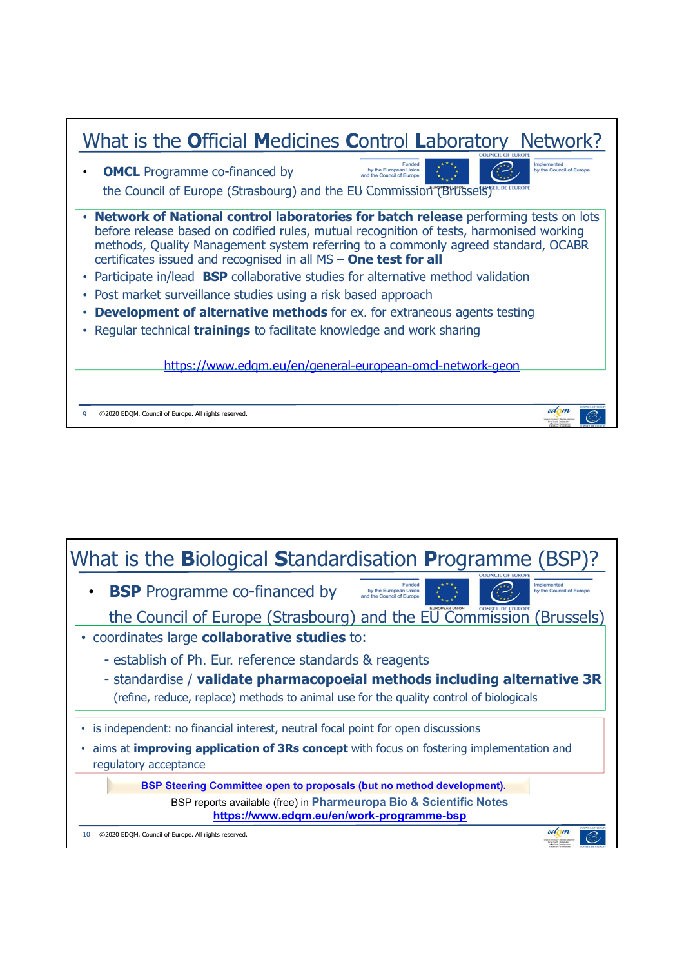

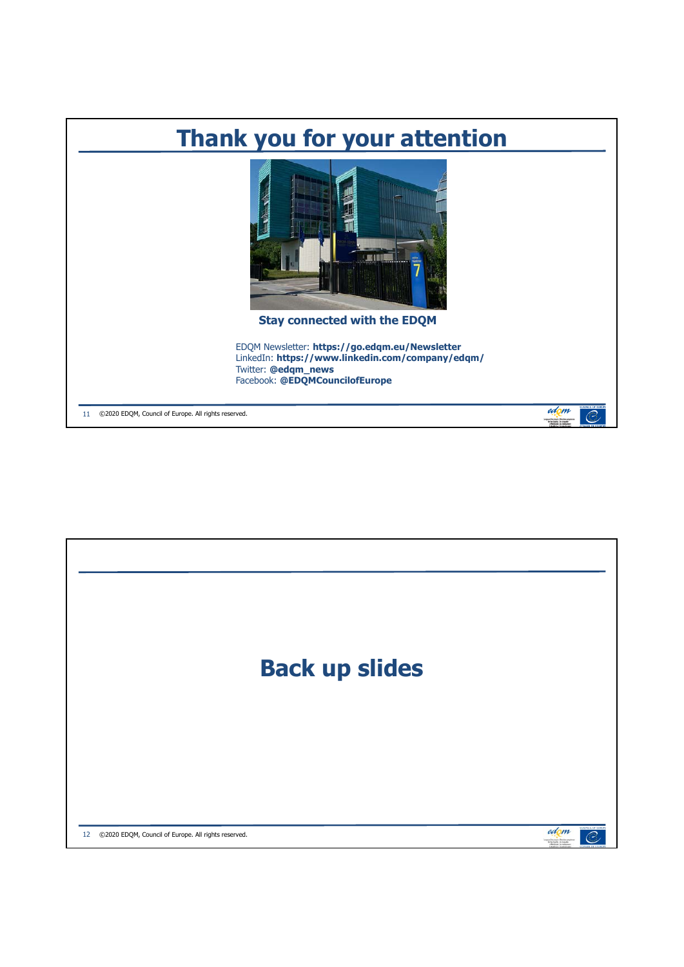

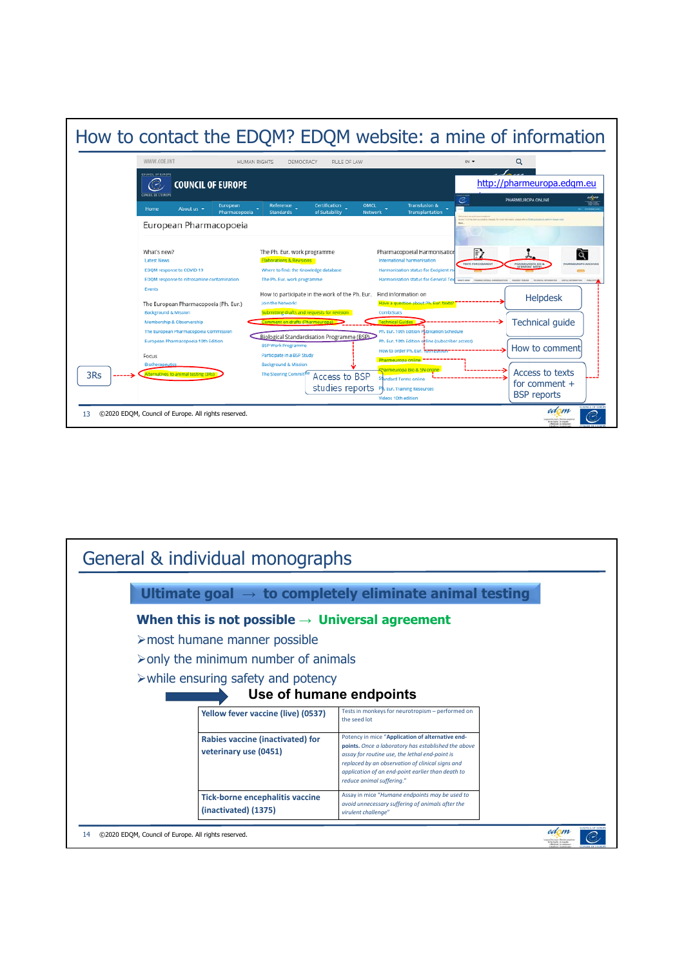

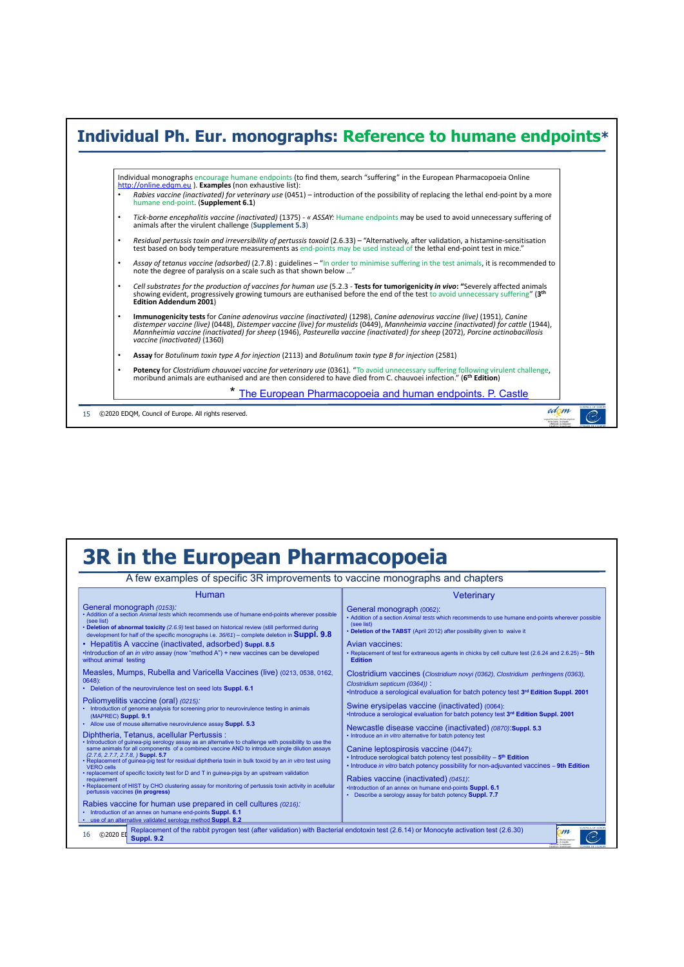

#### **3R in the European Pharmacopoeia** A few examples of specific 3R improvements to vaccine monographs and chapters **Human Veterinary** General monograph *(0153):* • Addition of a section *Animal tests* which recommends use of humane end-points wherever possible General monograph (0062):<br>• Addition of a section *Animal tests* which recommends to use humane end-points wherever possible • Addition of a section (see list)<br>• **Deletion of abnormal toxicity** (2.6.9) test based on historical review (still performed during<br>• development for half of the specific monographs i.e. 36⁄61) – complete deletion in **Suppl. 9.8** • **Deletion of the TABST** (April 2012) after possibility given to waive it • Hepatitis A vaccine (inactivated, adsorbed) **Suppl. 8.5** Avian vaccines: • Replacement of test for extraneous agents in chicks by cell culture test (2.6.24 and 2.6.25) – **5th**  •Introduction of an *in vitro* assay (now "method A") + new vaccines can be developed without animal testing **Edition** Measles, Mumps, Rubella and Varicella Vaccines (live) (0213, 0538, 0162, Clostridium vaccines (*Clostridium novyi (0362), Clostridium perfringens (0363),*  0648): • Deletion of the neurovirulence test on seed lots **Suppl. 6.1** *Clostridium septicum (0364))* : •Introduce a serological evaluation for batch potency test **3rd Edition Suppl. 2001** Poliomyelitis vaccine (oral) *(0215):* Swine erysipelas vaccine (inactivated) (0064): • Introduction of genome analysis for screening prior to neurovirulence testing in animals (MAPREC) **Suppl. 9.1** •Introduce a serological evaluation for batch potency test **3rd Edition Suppl. 2001** • Allow use of mouse alternative neurovirulence assay **Suppl. 5.3** Newcastle disease vaccine (inactivated) *(0870)*:**Suppl. 5.3** Diphtheria, Tetanus, acellular Pertussis : roduce an *in vitro* alternative for batch potency test • Introduction of guinea-pig serology assay as an alternative to challenge with possibility to use the same animals for all components of a combined vaccine AND to introduce single dilution assays  $(2.7.6, 2.7.7, 2.7.8)$  Canine leptospirosis vaccine (0447): • Introduce serological batch potency test possibility – **5th Edition** • Replacement of guinea-pig test for residual diphtheria toxin in bulk toxoid by an *in vitro* test using VERO cells<br>VERO cells<br>• replacement of specific toxicity test for D and T in guinea-pigs by an upstream validation<br>• • Introduce *in vitro* batch potency possibility for non-adjuvanted vaccines – **9th Edition** Rabies vaccine (inactivated) *(0451)*: •Introduction of an annex on humane end-points **Suppl. 6.1** • Describe a serology assay for batch potency **Suppl. 7.7**Rabies vaccine for human use prepared in cell cultures *(0216):* • Introduction of an annex on humane end-points **Suppl. 6.1** • use of an alternative validated serology method **Suppl. 8.2** 16 ©2020 En Replacement of the rabbit pyrogen test (after validation) with Bacterial endotoxin test (2.6.14) or Monocyte activation test (2.6.30) **Suppl. 9.2**<br>Suppl. 9.230  $\overline{m}$  $\overline{C}$